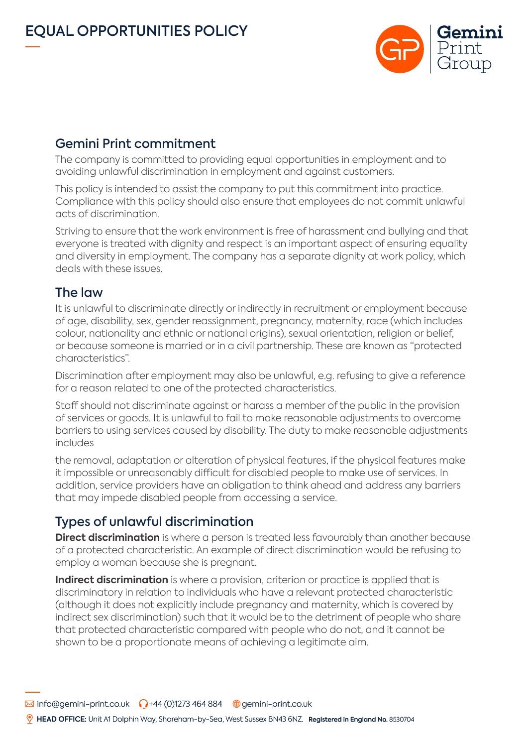

## Gemini Print commitment

The company is committed to providing equal opportunities in employment and to avoiding unlawful discrimination in employment and against customers.

This policy is intended to assist the company to put this commitment into practice. Compliance with this policy should also ensure that employees do not commit unlawful acts of discrimination.

Striving to ensure that the work environment is free of harassment and bullying and that everyone is treated with dignity and respect is an important aspect of ensuring equality and diversity in employment. The company has a separate dignity at work policy, which deals with these issues.

## The law

It is unlawful to discriminate directly or indirectly in recruitment or employment because of age, disability, sex, gender reassignment, pregnancy, maternity, race (which includes colour, nationality and ethnic or national origins), sexual orientation, religion or belief, or because someone is married or in a civil partnership. These are known as "protected characteristics".

Discrimination after employment may also be unlawful, e.g. refusing to give a reference for a reason related to one of the protected characteristics.

Staff should not discriminate against or harass a member of the public in the provision of services or goods. It is unlawful to fail to make reasonable adjustments to overcome barriers to using services caused by disability. The duty to make reasonable adjustments includes

the removal, adaptation or alteration of physical features, if the physical features make it impossible or unreasonably difficult for disabled people to make use of services. In addition, service providers have an obligation to think ahead and address any barriers that may impede disabled people from accessing a service.

# Types of unlawful discrimination

**Direct discrimination** is where a person is treated less favourably than another because of a protected characteristic. An example of direct discrimination would be refusing to employ a woman because she is pregnant.

**Indirect discrimination** is where a provision, criterion or practice is applied that is discriminatory in relation to individuals who have a relevant protected characteristic (although it does not explicitly include pregnancy and maternity, which is covered by indirect sex discrimination) such that it would be to the detriment of people who share that protected characteristic compared with people who do not, and it cannot be shown to be a proportionate means of achieving a legitimate aim.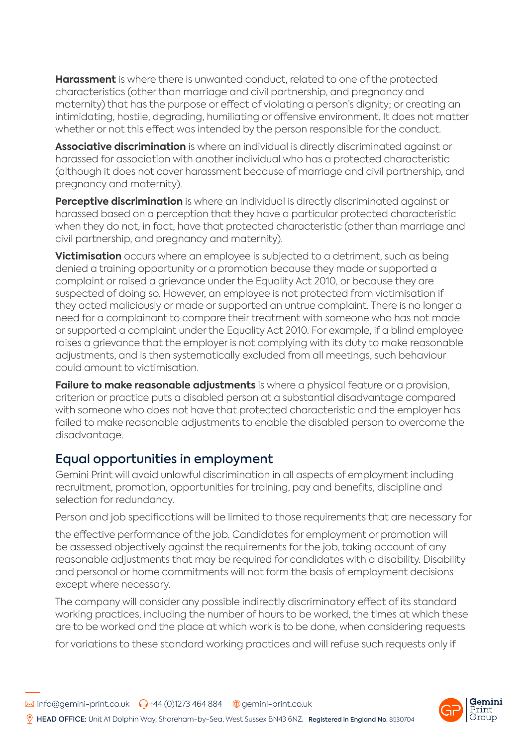**Harassment** is where there is unwanted conduct, related to one of the protected characteristics (other than marriage and civil partnership, and pregnancy and maternity) that has the purpose or effect of violating a person's dignity; or creating an intimidating, hostile, degrading, humiliating or offensive environment. It does not matter whether or not this effect was intended by the person responsible for the conduct.

**Associative discrimination** is where an individual is directly discriminated against or harassed for association with another individual who has a protected characteristic (although it does not cover harassment because of marriage and civil partnership, and pregnancy and maternity).

**Perceptive discrimination** is where an individual is directly discriminated against or harassed based on a perception that they have a particular protected characteristic when they do not, in fact, have that protected characteristic (other than marriage and civil partnership, and pregnancy and maternity).

**Victimisation** occurs where an employee is subjected to a detriment, such as being denied a training opportunity or a promotion because they made or supported a complaint or raised a grievance under the Equality Act 2010, or because they are suspected of doing so. However, an employee is not protected from victimisation if they acted maliciously or made or supported an untrue complaint. There is no longer a need for a complainant to compare their treatment with someone who has not made or supported a complaint under the Equality Act 2010. For example, if a blind employee raises a grievance that the employer is not complying with its duty to make reasonable adjustments, and is then systematically excluded from all meetings, such behaviour could amount to victimisation.

**Failure to make reasonable adjustments** is where a physical feature or a provision, criterion or practice puts a disabled person at a substantial disadvantage compared with someone who does not have that protected characteristic and the employer has failed to make reasonable adjustments to enable the disabled person to overcome the disadvantage.

## Equal opportunities in employment

Gemini Print will avoid unlawful discrimination in all aspects of employment including recruitment, promotion, opportunities for training, pay and benefits, discipline and selection for redundancy.

Person and job specifications will be limited to those requirements that are necessary for

the effective performance of the job. Candidates for employment or promotion will be assessed objectively against the requirements for the job, taking account of any reasonable adjustments that may be required for candidates with a disability. Disability and personal or home commitments will not form the basis of employment decisions except where necessary.

The company will consider any possible indirectly discriminatory effect of its standard working practices, including the number of hours to be worked, the times at which these are to be worked and the place at which work is to be done, when considering requests

for variations to these standard working practices and will refuse such requests only if

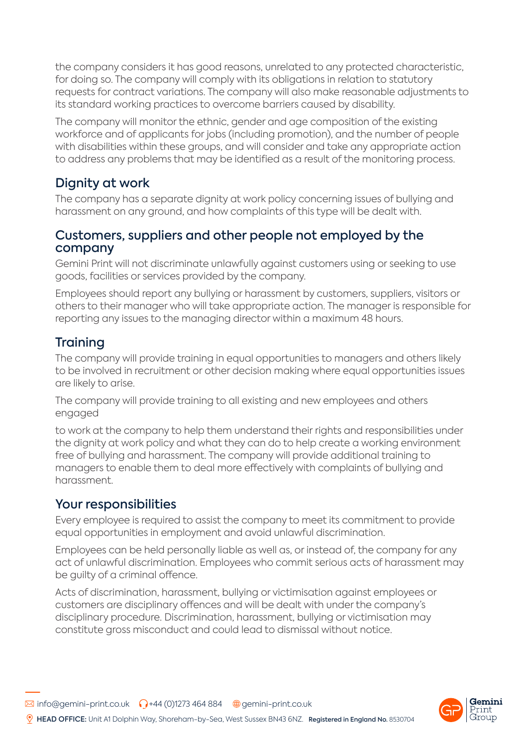the company considers it has good reasons, unrelated to any protected characteristic, for doing so. The company will comply with its obligations in relation to statutory requests for contract variations. The company will also make reasonable adjustments to its standard working practices to overcome barriers caused by disability.

The company will monitor the ethnic, gender and age composition of the existing workforce and of applicants for jobs (including promotion), and the number of people with disabilities within these groups, and will consider and take any appropriate action to address any problems that may be identified as a result of the monitoring process.

## Dignity at work

The company has a separate dignity at work policy concerning issues of bullying and harassment on any ground, and how complaints of this type will be dealt with.

#### Customers, suppliers and other people not employed by the company

Gemini Print will not discriminate unlawfully against customers using or seeking to use goods, facilities or services provided by the company.

Employees should report any bullying or harassment by customers, suppliers, visitors or others to their manager who will take appropriate action. The manager is responsible for reporting any issues to the managing director within a maximum 48 hours.

# **Training**

The company will provide training in equal opportunities to managers and others likely to be involved in recruitment or other decision making where equal opportunities issues are likely to arise.

The company will provide training to all existing and new employees and others engaged

to work at the company to help them understand their rights and responsibilities under the dignity at work policy and what they can do to help create a working environment free of bullying and harassment. The company will provide additional training to managers to enable them to deal more effectively with complaints of bullying and harassment.

# Your responsibilities

Every employee is required to assist the company to meet its commitment to provide equal opportunities in employment and avoid unlawful discrimination.

Employees can be held personally liable as well as, or instead of, the company for any act of unlawful discrimination. Employees who commit serious acts of harassment may be guilty of a criminal offence.

Acts of discrimination, harassment, bullying or victimisation against employees or customers are disciplinary offences and will be dealt with under the company's disciplinary procedure. Discrimination, harassment, bullying or victimisation may constitute gross misconduct and could lead to dismissal without notice.